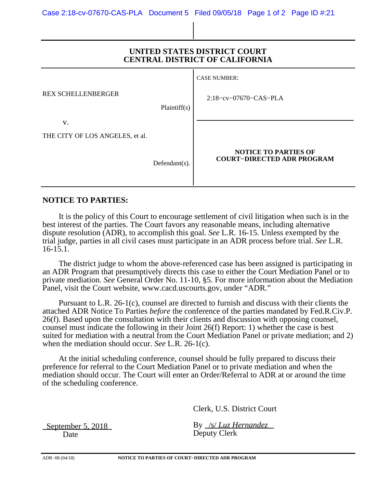| UNITED STATES DISTRICT COURT<br><b>CENTRAL DISTRICT OF CALIFORNIA</b> |               |                                                                  |
|-----------------------------------------------------------------------|---------------|------------------------------------------------------------------|
| <b>REX SCHELLENBERGER</b>                                             | Plaintiff(s)  | <b>CASE NUMBER:</b><br>$2:18$ -cv-07670-CAS-PLA                  |
| $V_{\cdot}$<br>THE CITY OF LOS ANGELES, et al.                        | Defendant(s). | <b>NOTICE TO PARTIES OF</b><br><b>COURT-DIRECTED ADR PROGRAM</b> |

## **NOTICE TO PARTIES:**

 It is the policy of this Court to encourage settlement of civil litigation when such is in the best interest of the parties. The Court favors any reasonable means, including alternative dispute resolution (ADR), to accomplish this goal. *See* L.R. 16-15. Unless exempted by the trial judge, parties in all civil cases must participate in an ADR process before trial. *See* L.R. 16-15.1.

 The district judge to whom the above-referenced case has been assigned is participating in an ADR Program that presumptively directs this case to either the Court Mediation Panel or to private mediation. *See* General Order No. 11-10, §5. For more information about the Mediation Panel, visit the Court website, www.cacd.uscourts.gov, under "ADR."

 Pursuant to L.R. 26-1(c), counsel are directed to furnish and discuss with their clients the attached ADR Notice To Parties *before* the conference of the parties mandated by Fed.R.Civ.P. 26(f). Based upon the consultation with their clients and discussion with opposing counsel, counsel must indicate the following in their Joint 26(f) Report: 1) whether the case is best suited for mediation with a neutral from the Court Mediation Panel or private mediation; and 2) when the mediation should occur. *See* L.R. 26-1(c).

 At the initial scheduling conference, counsel should be fully prepared to discuss their preference for referral to the Court Mediation Panel or to private mediation and when the mediation should occur. The Court will enter an Order/Referral to ADR at or around the time of the scheduling conference.

Clerk, U.S. District Court

By /s/ *Luz Hernandez* Deputy Clerk

September 5, 2018 Date